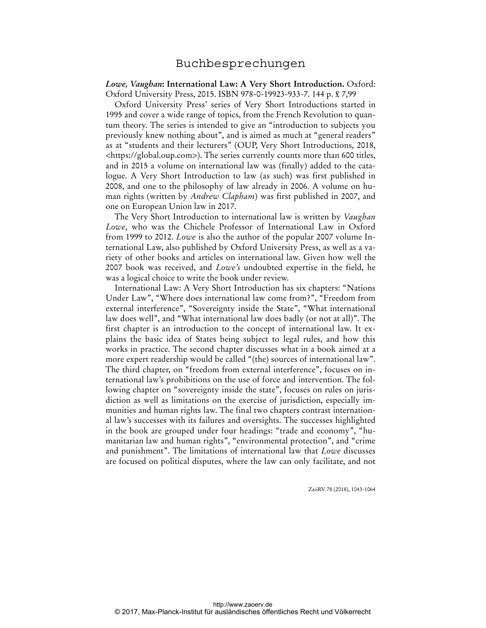*Lowe, Vaughan***: International Law: A Very Short Introduction.** Oxford: Oxford University Press, 2015. ISBN 978-0-19923-933-7. 144 p. £ 7,99

Oxford University Press' series of Very Short Introductions started in 1995 and cover a wide range of topics, from the French Revolution to quantum theory. The series is intended to give an "introduction to subjects you previously knew nothing about", and is aimed as much at "general readers" as at "students and their lecturers" (OUP, Very Short Introductions, 2018, <https://global.oup.com>). The series currently counts more than 600 titles, and in 2015 a volume on international law was (finally) added to the catalogue. A Very Short Introduction to law (as such) was first published in 2008, and one to the philosophy of law already in 2006. A volume on human rights (written by *Andrew Clapham*) was first published in 2007, and one on European Union law in 2017.

The Very Short Introduction to international law is written by *Vaughan Lowe*, who was the Chichele Professor of International Law in Oxford from 1999 to 2012. *Lowe* is also the author of the popular 2007 volume International Law, also published by Oxford University Press, as well as a variety of other books and articles on international law. Given how well the 2007 book was received, and *Lowe's* undoubted expertise in the field, he was a logical choice to write the book under review.

International Law: A Very Short Introduction has six chapters: "Nations Under Law", "Where does international law come from?", "Freedom from external interference", "Sovereignty inside the State", "What international law does well", and "What international law does badly (or not at all)". The first chapter is an introduction to the concept of international law. It explains the basic idea of States being subject to legal rules, and how this works in practice. The second chapter discusses what in a book aimed at a more expert readership would be called "(the) sources of international law". The third chapter, on "freedom from external interference", focuses on international law's prohibitions on the use of force and intervention. The following chapter on "sovereignty inside the state", focuses on rules on jurisdiction as well as limitations on the exercise of jurisdiction, especially immunities and human rights law. The final two chapters contrast international law's successes with its failures and oversights. The successes highlighted in the book are grouped under four headings: "trade and economy", "humanitarian law and human rights", "environmental protection", and "crime and punishment". The limitations of international law that *Lowe* discusses are focused on political disputes, where the law can only facilitate, and not

ZaöRV 78 (2018), 1043-1064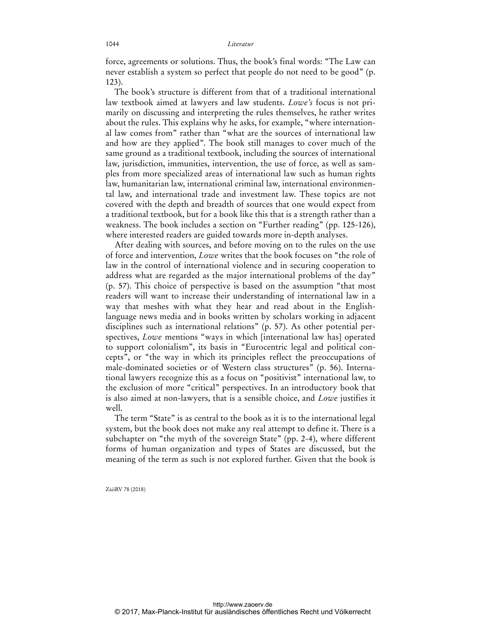force, agreements or solutions. Thus, the book's final words: "The Law can never establish a system so perfect that people do not need to be good" (p. 123).

The book's structure is different from that of a traditional international law textbook aimed at lawyers and law students. *Lowe's* focus is not primarily on discussing and interpreting the rules themselves, he rather writes about the rules. This explains why he asks, for example, "where international law comes from" rather than "what are the sources of international law and how are they applied". The book still manages to cover much of the same ground as a traditional textbook, including the sources of international law, jurisdiction, immunities, intervention, the use of force, as well as samples from more specialized areas of international law such as human rights law, humanitarian law, international criminal law, international environmental law, and international trade and investment law. These topics are not covered with the depth and breadth of sources that one would expect from a traditional textbook, but for a book like this that is a strength rather than a weakness. The book includes a section on "Further reading" (pp. 125-126), where interested readers are guided towards more in-depth analyses.

After dealing with sources, and before moving on to the rules on the use of force and intervention, *Lowe* writes that the book focuses on "the role of law in the control of international violence and in securing cooperation to address what are regarded as the major international problems of the day" (p. 57). This choice of perspective is based on the assumption "that most readers will want to increase their understanding of international law in a way that meshes with what they hear and read about in the Englishlanguage news media and in books written by scholars working in adjacent disciplines such as international relations" (p. 57). As other potential perspectives, *Lowe* mentions "ways in which [international law has] operated to support colonialism", its basis in "Eurocentric legal and political concepts", or "the way in which its principles reflect the preoccupations of male-dominated societies or of Western class structures" (p. 56). International lawyers recognize this as a focus on "positivist" international law, to the exclusion of more "critical" perspectives. In an introductory book that is also aimed at non-lawyers, that is a sensible choice, and *Lowe* justifies it well.

The term "State" is as central to the book as it is to the international legal system, but the book does not make any real attempt to define it. There is a subchapter on "the myth of the sovereign State" (pp. 2-4), where different forms of human organization and types of States are discussed, but the meaning of the term as such is not explored further. Given that the book is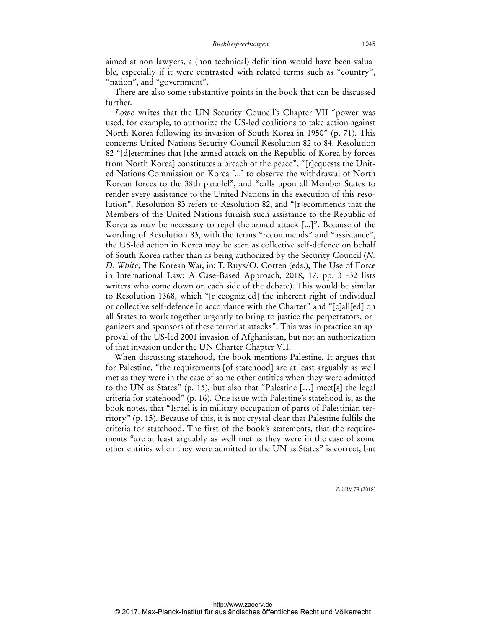aimed at non-lawyers, a (non-technical) definition would have been valuable, especially if it were contrasted with related terms such as "country", "nation", and "government".

There are also some substantive points in the book that can be discussed further.

*Lowe* writes that the UN Security Council's Chapter VII "power was used, for example, to authorize the US-led coalitions to take action against North Korea following its invasion of South Korea in 1950" (p. 71). This concerns United Nations Security Council Resolution 82 to 84. Resolution 82 "[d]etermines that [the armed attack on the Republic of Korea by forces from North Korea] constitutes a breach of the peace", "[r]equests the United Nations Commission on Korea [...] to observe the withdrawal of North Korean forces to the 38th parallel", and "calls upon all Member States to render every assistance to the United Nations in the execution of this resolution". Resolution 83 refers to Resolution 82, and "[r]ecommends that the Members of the United Nations furnish such assistance to the Republic of Korea as may be necessary to repel the armed attack [...]". Because of the wording of Resolution 83, with the terms "recommends" and "assistance", the US-led action in Korea may be seen as collective self-defence on behalf of South Korea rather than as being authorized by the Security Council (*N. D. White*, The Korean War, in: T. Ruys/O. Corten (eds.), The Use of Force in International Law: A Case-Based Approach, 2018, 17, pp. 31-32 lists writers who come down on each side of the debate). This would be similar to Resolution 1368, which "[r]ecogniz[ed] the inherent right of individual or collective self-defence in accordance with the Charter" and "[c]all[ed] on all States to work together urgently to bring to justice the perpetrators, organizers and sponsors of these terrorist attacks". This was in practice an approval of the US-led 2001 invasion of Afghanistan, but not an authorization of that invasion under the UN Charter Chapter VII.

When discussing statehood, the book mentions Palestine. It argues that for Palestine, "the requirements [of statehood] are at least arguably as well met as they were in the case of some other entities when they were admitted to the UN as States" (p. 15), but also that "Palestine […] meet[s] the legal criteria for statehood" (p. 16). One issue with Palestine's statehood is, as the book notes, that "Israel is in military occupation of parts of Palestinian territory" (p. 15). Because of this, it is not crystal clear that Palestine fulfils the criteria for statehood. The first of the book's statements, that the requirements "are at least arguably as well met as they were in the case of some other entities when they were admitted to the UN as States" is correct, but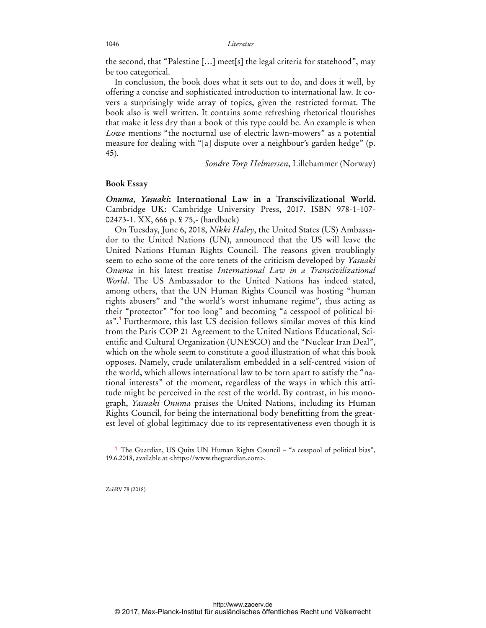#### 1046 *Literatur*

the second, that "Palestine […] meet[s] the legal criteria for statehood", may be too categorical.

In conclusion, the book does what it sets out to do, and does it well, by offering a concise and sophisticated introduction to international law. It covers a surprisingly wide array of topics, given the restricted format. The book also is well written. It contains some refreshing rhetorical flourishes that make it less dry than a book of this type could be. An example is when *Lowe* mentions "the nocturnal use of electric lawn-mowers" as a potential measure for dealing with "[a] dispute over a neighbour's garden hedge" (p. 45).

*Sondre Torp Helmersen*, Lillehammer (Norway)

### **Book Essay**

*Onuma, Yasuaki***: International Law in a Transcivilizational World.** Cambridge UK: Cambridge University Press, 2017. ISBN 978-1-107- 02473-1. XX, 666 p. £ 75,- (hardback)

On Tuesday, June 6, 2018, *Nikki Haley*, the United States (US) Ambassador to the United Nations (UN), announced that the US will leave the United Nations Human Rights Council. The reasons given troublingly seem to echo some of the core tenets of the criticism developed by *Yasuaki Onuma* in his latest treatise *International Law in a Transcivilizational World*. The US Ambassador to the United Nations has indeed stated, among others, that the UN Human Rights Council was hosting "human rights abusers" and "the world's worst inhumane regime", thus acting as their "protector" "for too long" and becoming "a cesspool of political bias".<sup>1</sup> Furthermore, this last US decision follows similar moves of this kind from the Paris COP 21 Agreement to the United Nations Educational, Scientific and Cultural Organization (UNESCO) and the "Nuclear Iran Deal", which on the whole seem to constitute a good illustration of what this book opposes. Namely, crude unilateralism embedded in a self-centred vision of the world, which allows international law to be torn apart to satisfy the "national interests" of the moment, regardless of the ways in which this attitude might be perceived in the rest of the world. By contrast, in his monograph, *Yasuaki Onuma* praises the United Nations, including its Human Rights Council, for being the international body benefitting from the greatest level of global legitimacy due to its representativeness even though it is

ZaöRV 78 (2018)

<sup>&</sup>lt;sup>1</sup> The Guardian, US Quits UN Human Rights Council – "a cesspool of political bias", 19.6.2018, available at <https://www.theguardian.com>.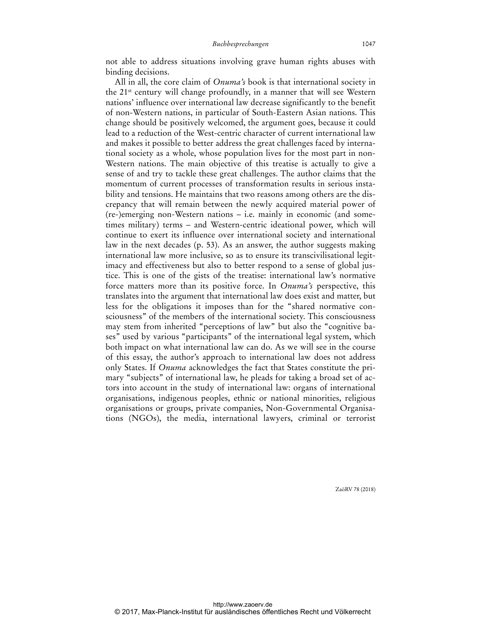not able to address situations involving grave human rights abuses with binding decisions.

All in all, the core claim of *Onuma's* book is that international society in the 21st century will change profoundly, in a manner that will see Western nations' influence over international law decrease significantly to the benefit of non-Western nations, in particular of South-Eastern Asian nations. This change should be positively welcomed, the argument goes, because it could lead to a reduction of the West-centric character of current international law and makes it possible to better address the great challenges faced by international society as a whole, whose population lives for the most part in non-Western nations. The main objective of this treatise is actually to give a sense of and try to tackle these great challenges. The author claims that the momentum of current processes of transformation results in serious instability and tensions. He maintains that two reasons among others are the discrepancy that will remain between the newly acquired material power of (re-)emerging non-Western nations – i.e. mainly in economic (and sometimes military) terms – and Western-centric ideational power, which will continue to exert its influence over international society and international law in the next decades (p. 53). As an answer, the author suggests making international law more inclusive, so as to ensure its transcivilisational legitimacy and effectiveness but also to better respond to a sense of global justice. This is one of the gists of the treatise: international law's normative force matters more than its positive force. In *Onuma's* perspective, this translates into the argument that international law does exist and matter, but less for the obligations it imposes than for the "shared normative consciousness" of the members of the international society. This consciousness may stem from inherited "perceptions of law" but also the "cognitive bases" used by various "participants" of the international legal system, which both impact on what international law can do. As we will see in the course of this essay, the author's approach to international law does not address only States. If *Onuma* acknowledges the fact that States constitute the primary "subjects" of international law, he pleads for taking a broad set of actors into account in the study of international law: organs of international organisations, indigenous peoples, ethnic or national minorities, religious organisations or groups, private companies, Non-Governmental Organisations (NGOs), the media, international lawyers, criminal or terrorist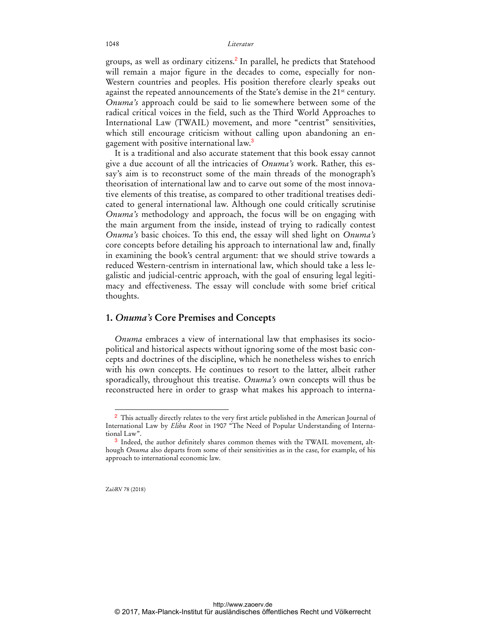groups, as well as ordinary citizens.<sup>2</sup> In parallel, he predicts that Statehood will remain a major figure in the decades to come, especially for non-Western countries and peoples. His position therefore clearly speaks out against the repeated announcements of the State's demise in the 21<sup>st</sup> century. *Onuma's* approach could be said to lie somewhere between some of the radical critical voices in the field, such as the Third World Approaches to International Law (TWAIL) movement, and more "centrist" sensitivities, which still encourage criticism without calling upon abandoning an engagement with positive international law.<sup>3</sup>

It is a traditional and also accurate statement that this book essay cannot give a due account of all the intricacies of *Onuma's* work. Rather, this essay's aim is to reconstruct some of the main threads of the monograph's theorisation of international law and to carve out some of the most innovative elements of this treatise, as compared to other traditional treatises dedicated to general international law. Although one could critically scrutinise *Onuma's* methodology and approach, the focus will be on engaging with the main argument from the inside, instead of trying to radically contest *Onuma's* basic choices. To this end, the essay will shed light on *Onuma's*  core concepts before detailing his approach to international law and, finally in examining the book's central argument: that we should strive towards a reduced Western-centrism in international law, which should take a less legalistic and judicial-centric approach, with the goal of ensuring legal legitimacy and effectiveness. The essay will conclude with some brief critical thoughts.

## **1.** *Onuma's* **Core Premises and Concepts**

*Onuma* embraces a view of international law that emphasises its sociopolitical and historical aspects without ignoring some of the most basic concepts and doctrines of the discipline, which he nonetheless wishes to enrich with his own concepts. He continues to resort to the latter, albeit rather sporadically, throughout this treatise. *Onuma's* own concepts will thus be reconstructed here in order to grasp what makes his approach to interna-

ZaöRV 78 (2018)

<sup>2</sup> This actually directly relates to the very first article published in the American Journal of International Law by *Elihu Root* in 1907 "The Need of Popular Understanding of International Law".

<sup>&</sup>lt;sup>3</sup> Indeed, the author definitely shares common themes with the TWAIL movement, although *Onuma* also departs from some of their sensitivities as in the case, for example, of his approach to international economic law.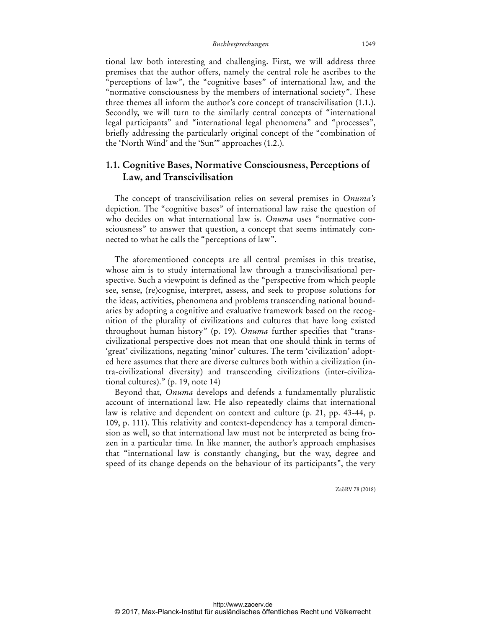tional law both interesting and challenging. First, we will address three premises that the author offers, namely the central role he ascribes to the "perceptions of law", the "cognitive bases" of international law, and the "normative consciousness by the members of international society". These three themes all inform the author's core concept of transcivilisation (1.1.). Secondly, we will turn to the similarly central concepts of "international legal participants" and "international legal phenomena" and "processes", briefly addressing the particularly original concept of the "combination of the 'North Wind' and the 'Sun'" approaches (1.2.).

# **1.1. Cognitive Bases, Normative Consciousness, Perceptions of Law, and Transcivilisation**

The concept of transcivilisation relies on several premises in *Onuma's*  depiction. The "cognitive bases" of international law raise the question of who decides on what international law is. *Onuma* uses "normative consciousness" to answer that question, a concept that seems intimately connected to what he calls the "perceptions of law".

The aforementioned concepts are all central premises in this treatise, whose aim is to study international law through a transcivilisational perspective. Such a viewpoint is defined as the "perspective from which people see, sense, (re)cognise, interpret, assess, and seek to propose solutions for the ideas, activities, phenomena and problems transcending national boundaries by adopting a cognitive and evaluative framework based on the recognition of the plurality of civilizations and cultures that have long existed throughout human history" (p. 19). *Onuma* further specifies that "transcivilizational perspective does not mean that one should think in terms of 'great' civilizations, negating 'minor' cultures. The term 'civilization' adopted here assumes that there are diverse cultures both within a civilization (intra-civilizational diversity) and transcending civilizations (inter-civilizational cultures)." (p. 19, note 14)

Beyond that, *Onuma* develops and defends a fundamentally pluralistic account of international law. He also repeatedly claims that international law is relative and dependent on context and culture (p. 21, pp. 43-44, p. 109, p. 111). This relativity and context-dependency has a temporal dimension as well, so that international law must not be interpreted as being frozen in a particular time. In like manner, the author's approach emphasises that "international law is constantly changing, but the way, degree and speed of its change depends on the behaviour of its participants", the very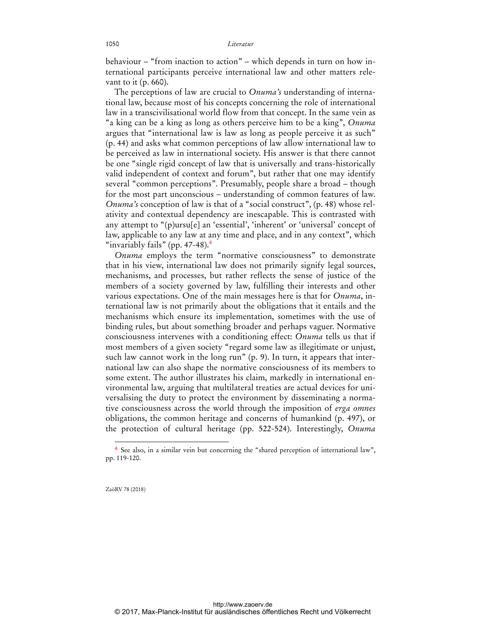behaviour – "from inaction to action" – which depends in turn on how international participants perceive international law and other matters relevant to it (p. 660).

The perceptions of law are crucial to *Onuma's* understanding of international law, because most of his concepts concerning the role of international law in a transcivilisational world flow from that concept. In the same vein as "a king can be a king as long as others perceive him to be a king", *Onuma* argues that "international law is law as long as people perceive it as such" (p. 44) and asks what common perceptions of law allow international law to be perceived as law in international society. His answer is that there cannot be one "single rigid concept of law that is universally and trans-historically valid independent of context and forum", but rather that one may identify several "common perceptions". Presumably, people share a broad – though for the most part unconscious – understanding of common features of law. *Onuma's* conception of law is that of a "social construct", (p. 48) whose relativity and contextual dependency are inescapable. This is contrasted with any attempt to "(p)ursu[e] an 'essential', 'inherent' or 'universal' concept of law, applicable to any law at any time and place, and in any context", which "invariably fails" (pp.  $47-48$ ).

*Onuma* employs the term "normative consciousness" to demonstrate that in his view, international law does not primarily signify legal sources, mechanisms, and processes, but rather reflects the sense of justice of the members of a society governed by law, fulfilling their interests and other various expectations. One of the main messages here is that for *Onuma*, international law is not primarily about the obligations that it entails and the mechanisms which ensure its implementation, sometimes with the use of binding rules, but about something broader and perhaps vaguer. Normative consciousness intervenes with a conditioning effect: *Onuma* tells us that if most members of a given society "regard some law as illegitimate or unjust, such law cannot work in the long run" (p. 9). In turn, it appears that international law can also shape the normative consciousness of its members to some extent. The author illustrates his claim, markedly in international environmental law, arguing that multilateral treaties are actual devices for universalising the duty to protect the environment by disseminating a normative consciousness across the world through the imposition of *erga omnes* obligations, the common heritage and concerns of humankind (p. 497), or the protection of cultural heritage (pp. 522-524). Interestingly, *Onuma*

ZaöRV 78 (2018)

<sup>4</sup> See also, in a similar vein but concerning the "shared perception of international law", pp. 119-120.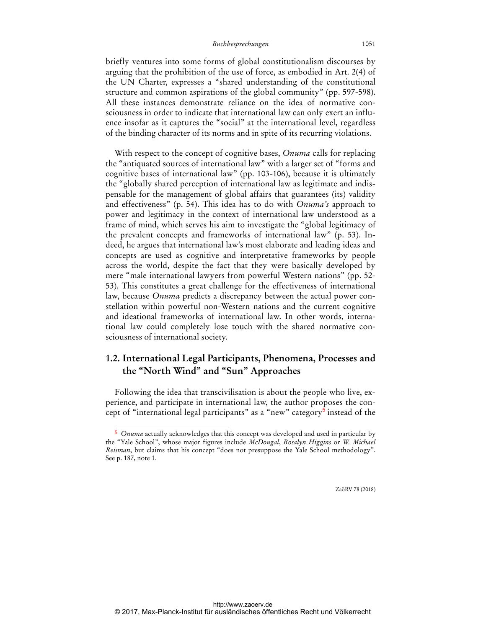briefly ventures into some forms of global constitutionalism discourses by arguing that the prohibition of the use of force, as embodied in Art. 2(4) of the UN Charter, expresses a "shared understanding of the constitutional structure and common aspirations of the global community" (pp. 597-598). All these instances demonstrate reliance on the idea of normative consciousness in order to indicate that international law can only exert an influence insofar as it captures the "social" at the international level, regardless of the binding character of its norms and in spite of its recurring violations.

With respect to the concept of cognitive bases, *Onuma* calls for replacing the "antiquated sources of international law" with a larger set of "forms and cognitive bases of international law" (pp. 103-106), because it is ultimately the "globally shared perception of international law as legitimate and indispensable for the management of global affairs that guarantees (its) validity and effectiveness" (p. 54). This idea has to do with *Onuma's* approach to power and legitimacy in the context of international law understood as a frame of mind, which serves his aim to investigate the "global legitimacy of the prevalent concepts and frameworks of international law" (p. 53). Indeed, he argues that international law's most elaborate and leading ideas and concepts are used as cognitive and interpretative frameworks by people across the world, despite the fact that they were basically developed by mere "male international lawyers from powerful Western nations" (pp. 52- 53). This constitutes a great challenge for the effectiveness of international law, because *Onuma* predicts a discrepancy between the actual power constellation within powerful non-Western nations and the current cognitive and ideational frameworks of international law. In other words, international law could completely lose touch with the shared normative consciousness of international society.

# **1.2. International Legal Participants, Phenomena, Processes and the "North Wind" and "Sun" Approaches**

Following the idea that transcivilisation is about the people who live, experience, and participate in international law, the author proposes the concept of "international legal participants" as a "new" category<sup>5</sup> instead of the

 $\overline{a}$ 

<sup>5</sup> *Onuma* actually acknowledges that this concept was developed and used in particular by the "Yale School", whose major figures include *McDougal*, *Rosalyn Higgins* or *W. Michael Reisman*, but claims that his concept "does not presuppose the Yale School methodology". See p. 187, note 1.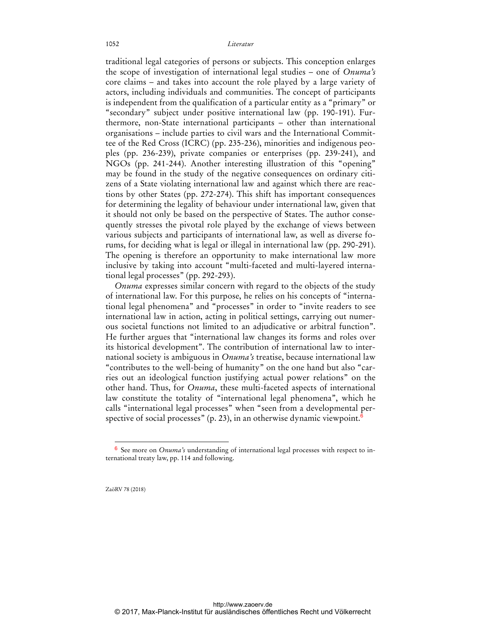traditional legal categories of persons or subjects. This conception enlarges the scope of investigation of international legal studies – one of *Onuma's*  core claims – and takes into account the role played by a large variety of actors, including individuals and communities. The concept of participants is independent from the qualification of a particular entity as a "primary" or "secondary" subject under positive international law (pp. 190-191). Furthermore, non-State international participants – other than international organisations – include parties to civil wars and the International Committee of the Red Cross (ICRC) (pp. 235-236), minorities and indigenous peoples (pp. 236-239), private companies or enterprises (pp. 239-241), and NGOs (pp. 241-244). Another interesting illustration of this "opening" may be found in the study of the negative consequences on ordinary citizens of a State violating international law and against which there are reactions by other States (pp. 272-274). This shift has important consequences for determining the legality of behaviour under international law, given that it should not only be based on the perspective of States. The author consequently stresses the pivotal role played by the exchange of views between various subjects and participants of international law, as well as diverse forums, for deciding what is legal or illegal in international law (pp. 290-291). The opening is therefore an opportunity to make international law more inclusive by taking into account "multi-faceted and multi-layered international legal processes" (pp. 292-293).

*Onuma* expresses similar concern with regard to the objects of the study of international law. For this purpose, he relies on his concepts of "international legal phenomena" and "processes" in order to "invite readers to see international law in action, acting in political settings, carrying out numerous societal functions not limited to an adjudicative or arbitral function". He further argues that "international law changes its forms and roles over its historical development". The contribution of international law to international society is ambiguous in *Onuma's* treatise, because international law "contributes to the well-being of humanity" on the one hand but also "carries out an ideological function justifying actual power relations" on the other hand. Thus, for *Onuma*, these multi-faceted aspects of international law constitute the totality of "international legal phenomena", which he calls "international legal processes" when "seen from a developmental perspective of social processes" (p. 23), in an otherwise dynamic viewpoint.<sup>6</sup>

ZaöRV 78 (2018)

<sup>6</sup> See more on *Onuma's* understanding of international legal processes with respect to international treaty law, pp. 114 and following.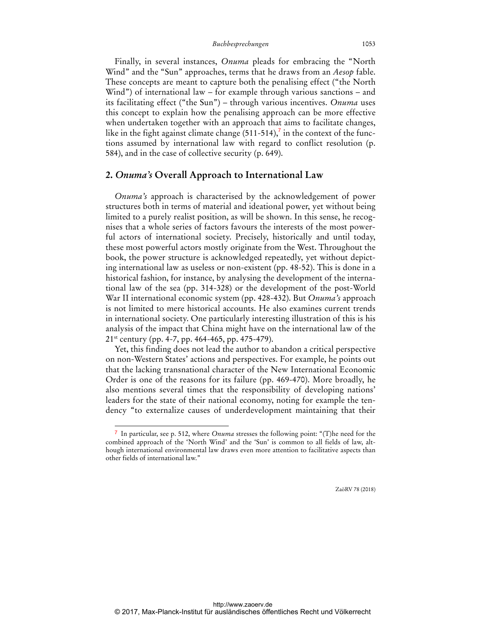Finally, in several instances, *Onuma* pleads for embracing the "North Wind" and the "Sun" approaches, terms that he draws from an *Aesop* fable. These concepts are meant to capture both the penalising effect ("the North Wind") of international law – for example through various sanctions – and its facilitating effect ("the Sun") – through various incentives. *Onuma* uses this concept to explain how the penalising approach can be more effective when undertaken together with an approach that aims to facilitate changes, like in the fight against climate change (511-514),<sup>7</sup> in the context of the functions assumed by international law with regard to conflict resolution (p. 584), and in the case of collective security (p. 649).

## **2.** *Onuma's* **Overall Approach to International Law**

*Onuma's* approach is characterised by the acknowledgement of power structures both in terms of material and ideational power, yet without being limited to a purely realist position, as will be shown. In this sense, he recognises that a whole series of factors favours the interests of the most powerful actors of international society. Precisely, historically and until today, these most powerful actors mostly originate from the West. Throughout the book, the power structure is acknowledged repeatedly, yet without depicting international law as useless or non-existent (pp. 48-52). This is done in a historical fashion, for instance, by analysing the development of the international law of the sea (pp. 314-328) or the development of the post-World War II international economic system (pp. 428-432). But *Onuma's* approach is not limited to mere historical accounts. He also examines current trends in international society. One particularly interesting illustration of this is his analysis of the impact that China might have on the international law of the 21st century (pp. 4-7, pp. 464-465, pp. 475-479).

Yet, this finding does not lead the author to abandon a critical perspective on non-Western States' actions and perspectives. For example, he points out that the lacking transnational character of the New International Economic Order is one of the reasons for its failure (pp. 469-470). More broadly, he also mentions several times that the responsibility of developing nations' leaders for the state of their national economy, noting for example the tendency "to externalize causes of underdevelopment maintaining that their

 $\overline{a}$ 

<sup>7</sup> In particular, see p. 512, where *Onuma* stresses the following point: "(T)he need for the combined approach of the 'North Wind' and the 'Sun' is common to all fields of law, although international environmental law draws even more attention to facilitative aspects than other fields of international law."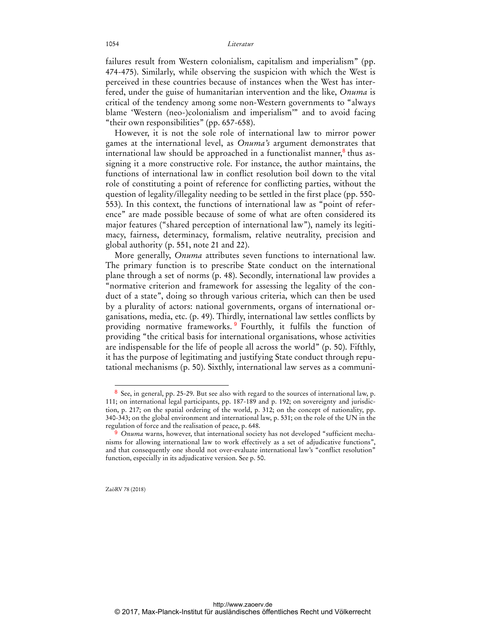### 1054 *Literatur*

failures result from Western colonialism, capitalism and imperialism" (pp. 474-475). Similarly, while observing the suspicion with which the West is perceived in these countries because of instances when the West has interfered, under the guise of humanitarian intervention and the like, *Onuma* is critical of the tendency among some non-Western governments to "always blame 'Western (neo-)colonialism and imperialism'" and to avoid facing "their own responsibilities" (pp. 657-658).

However, it is not the sole role of international law to mirror power games at the international level, as *Onuma's* argument demonstrates that international law should be approached in a functionalist manner,<sup>8</sup> thus assigning it a more constructive role. For instance, the author maintains, the functions of international law in conflict resolution boil down to the vital role of constituting a point of reference for conflicting parties, without the question of legality/illegality needing to be settled in the first place (pp. 550- 553). In this context, the functions of international law as "point of reference" are made possible because of some of what are often considered its major features ("shared perception of international law"), namely its legitimacy, fairness, determinacy, formalism, relative neutrality, precision and global authority (p. 551, note 21 and 22).

More generally, *Onuma* attributes seven functions to international law. The primary function is to prescribe State conduct on the international plane through a set of norms (p. 48). Secondly, international law provides a "normative criterion and framework for assessing the legality of the conduct of a state", doing so through various criteria, which can then be used by a plurality of actors: national governments, organs of international organisations, media, etc. (p. 49). Thirdly, international law settles conflicts by providing normative frameworks.<sup>9</sup> Fourthly, it fulfils the function of providing "the critical basis for international organisations, whose activities are indispensable for the life of people all across the world" (p. 50). Fifthly, it has the purpose of legitimating and justifying State conduct through reputational mechanisms (p. 50). Sixthly, international law serves as a communi-

ZaöRV 78 (2018)

<sup>8</sup> See, in general, pp. 25-29. But see also with regard to the sources of international law, p. 111; on international legal participants, pp. 187-189 and p. 192; on sovereignty and jurisdiction, p. 217; on the spatial ordering of the world, p. 312; on the concept of nationality, pp. 340-343; on the global environment and international law, p. 531; on the role of the UN in the regulation of force and the realisation of peace, p. 648.

Onuma warns, however, that international society has not developed "sufficient mechanisms for allowing international law to work effectively as a set of adjudicative functions", and that consequently one should not over-evaluate international law's "conflict resolution" function, especially in its adjudicative version. See p. 50.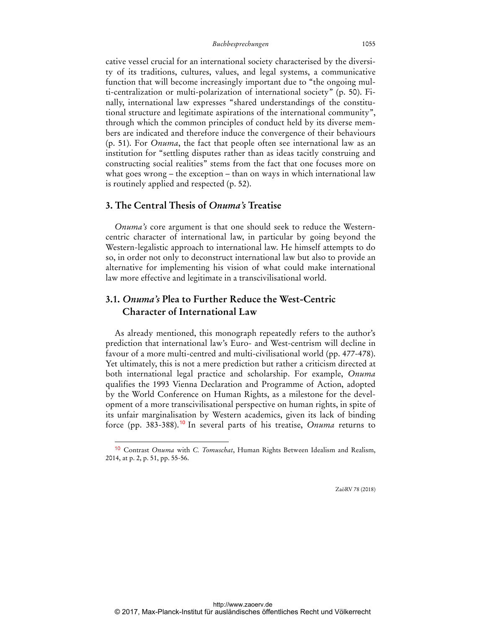cative vessel crucial for an international society characterised by the diversity of its traditions, cultures, values, and legal systems, a communicative function that will become increasingly important due to "the ongoing multi-centralization or multi-polarization of international society" (p. 50). Finally, international law expresses "shared understandings of the constitutional structure and legitimate aspirations of the international community", through which the common principles of conduct held by its diverse members are indicated and therefore induce the convergence of their behaviours (p. 51). For *Onuma*, the fact that people often see international law as an institution for "settling disputes rather than as ideas tacitly construing and constructing social realities" stems from the fact that one focuses more on what goes wrong – the exception – than on ways in which international law is routinely applied and respected (p. 52).

## **3. The Central Thesis of** *Onuma's* **Treatise**

 $\overline{a}$ 

*Onuma's* core argument is that one should seek to reduce the Westerncentric character of international law, in particular by going beyond the Western-legalistic approach to international law. He himself attempts to do so, in order not only to deconstruct international law but also to provide an alternative for implementing his vision of what could make international law more effective and legitimate in a transcivilisational world.

# **3.1.** *Onuma's* **Plea to Further Reduce the West-Centric Character of International Law**

As already mentioned, this monograph repeatedly refers to the author's prediction that international law's Euro- and West-centrism will decline in favour of a more multi-centred and multi-civilisational world (pp. 477-478). Yet ultimately, this is not a mere prediction but rather a criticism directed at both international legal practice and scholarship. For example, *Onuma* qualifies the 1993 Vienna Declaration and Programme of Action, adopted by the World Conference on Human Rights, as a milestone for the development of a more transcivilisational perspective on human rights, in spite of its unfair marginalisation by Western academics, given its lack of binding force (pp. 383-388).<sup>10</sup> In several parts of his treatise, *Onuma* returns to

<sup>10</sup> Contrast *Onuma* with *C. Tomuschat*, Human Rights Between Idealism and Realism, 2014, at p. 2, p. 51, pp. 55-56.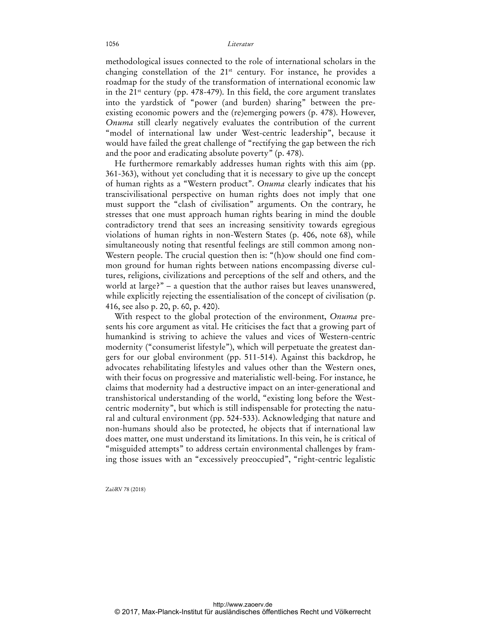### 1056 *Literatur*

methodological issues connected to the role of international scholars in the changing constellation of the 21st century. For instance, he provides a roadmap for the study of the transformation of international economic law in the  $21^{st}$  century (pp. 478-479). In this field, the core argument translates into the yardstick of "power (and burden) sharing" between the preexisting economic powers and the (re)emerging powers (p. 478). However, *Onuma* still clearly negatively evaluates the contribution of the current "model of international law under West-centric leadership", because it would have failed the great challenge of "rectifying the gap between the rich and the poor and eradicating absolute poverty" (p. 478).

He furthermore remarkably addresses human rights with this aim (pp. 361-363), without yet concluding that it is necessary to give up the concept of human rights as a "Western product". *Onuma* clearly indicates that his transcivilisational perspective on human rights does not imply that one must support the "clash of civilisation" arguments. On the contrary, he stresses that one must approach human rights bearing in mind the double contradictory trend that sees an increasing sensitivity towards egregious violations of human rights in non-Western States (p. 406, note 68), while simultaneously noting that resentful feelings are still common among non-Western people. The crucial question then is: "(h)ow should one find common ground for human rights between nations encompassing diverse cultures, religions, civilizations and perceptions of the self and others, and the world at large?" – a question that the author raises but leaves unanswered, while explicitly rejecting the essentialisation of the concept of civilisation (p. 416, see also p. 20, p. 60, p. 420).

With respect to the global protection of the environment, *Onuma* presents his core argument as vital. He criticises the fact that a growing part of humankind is striving to achieve the values and vices of Western-centric modernity ("consumerist lifestyle"), which will perpetuate the greatest dangers for our global environment (pp. 511-514). Against this backdrop, he advocates rehabilitating lifestyles and values other than the Western ones, with their focus on progressive and materialistic well-being. For instance, he claims that modernity had a destructive impact on an inter-generational and transhistorical understanding of the world, "existing long before the Westcentric modernity", but which is still indispensable for protecting the natural and cultural environment (pp. 524-533). Acknowledging that nature and non-humans should also be protected, he objects that if international law does matter, one must understand its limitations. In this vein, he is critical of "misguided attempts" to address certain environmental challenges by framing those issues with an "excessively preoccupied", "right-centric legalistic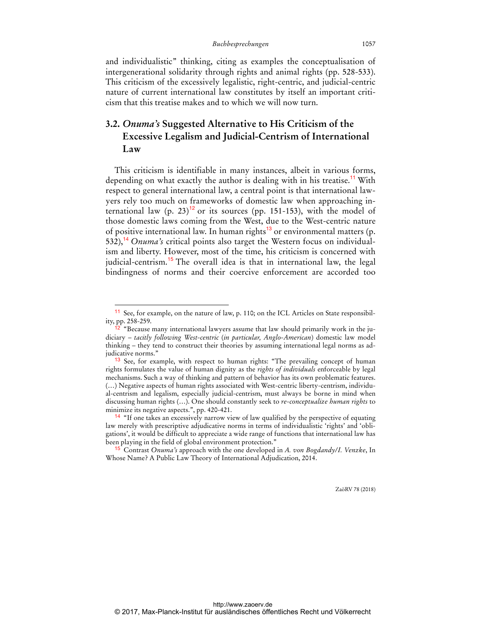and individualistic" thinking, citing as examples the conceptualisation of intergenerational solidarity through rights and animal rights (pp. 528-533). This criticism of the excessively legalistic, right-centric, and judicial-centric nature of current international law constitutes by itself an important criticism that this treatise makes and to which we will now turn.

# **3.2.** *Onuma's* **Suggested Alternative to His Criticism of the Excessive Legalism and Judicial-Centrism of International Law**

This criticism is identifiable in many instances, albeit in various forms, depending on what exactly the author is dealing with in his treatise.<sup>11</sup> With respect to general international law, a central point is that international lawyers rely too much on frameworks of domestic law when approaching international law (p. 23)<sup>12</sup> or its sources (pp. 151-153), with the model of those domestic laws coming from the West, due to the West-centric nature of positive international law. In human rights $13$  or environmental matters (p. 532),<sup>14</sup> *Onuma's* critical points also target the Western focus on individualism and liberty. However, most of the time, his criticism is concerned with judicial-centrism.<sup>15</sup> The overall idea is that in international law, the legal bindingness of norms and their coercive enforcement are accorded too

 $\overline{a}$ 

<sup>11</sup> See, for example, on the nature of law, p. 110; on the ICL Articles on State responsibility, pp. 258-259.

<sup>&</sup>lt;sup>2</sup> "Because many international lawyers assume that law should primarily work in the judiciary – *tacitly following West-centric* (*in particular, Anglo-American*) domestic law model thinking – they tend to construct their theories by assuming international legal norms as adjudicative norms."

<sup>&</sup>lt;sup>13</sup> See, for example, with respect to human rights: "The prevailing concept of human rights formulates the value of human dignity as the *rights of individuals* enforceable by legal mechanisms. Such a way of thinking and pattern of behavior has its own problematic features. (…) Negative aspects of human rights associated with West-centric liberty-centrism, individual-centrism and legalism, especially judicial-centrism, must always be borne in mind when discussing human rights (…). One should constantly seek to *re-conceptualize human rights* to minimize its negative aspects.", pp. 420-421.

<sup>&</sup>lt;sup>14</sup> "If one takes an excessively narrow view of law qualified by the perspective of equating law merely with prescriptive adjudicative norms in terms of individualistic 'rights' and 'obligations', it would be difficult to appreciate a wide range of functions that international law has been playing in the field of global environment protection."

<sup>15</sup> Contrast *Onuma's* approach with the one developed in *A. von Bogdandy/I. Venzke*, In Whose Name? A Public Law Theory of International Adjudication, 2014.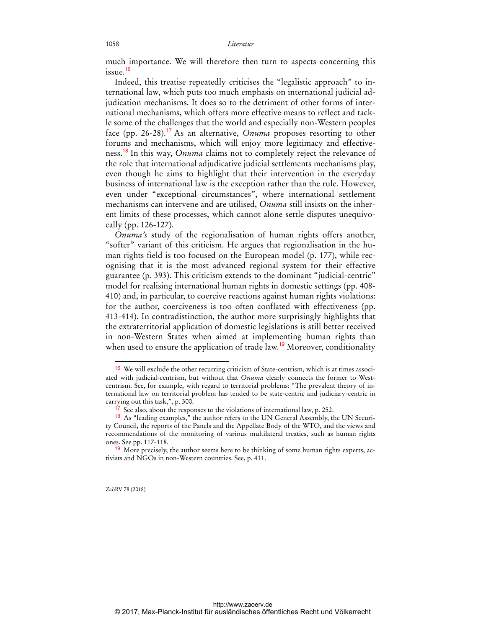much importance. We will therefore then turn to aspects concerning this  $i$ ssue.<sup>16</sup>

Indeed, this treatise repeatedly criticises the "legalistic approach" to international law, which puts too much emphasis on international judicial adjudication mechanisms. It does so to the detriment of other forms of international mechanisms, which offers more effective means to reflect and tackle some of the challenges that the world and especially non-Western peoples face (pp. 26-28).<sup>17</sup> As an alternative, *Onuma* proposes resorting to other forums and mechanisms, which will enjoy more legitimacy and effectiveness.<sup>18</sup> In this way, *Onuma* claims not to completely reject the relevance of the role that international adjudicative judicial settlements mechanisms play, even though he aims to highlight that their intervention in the everyday business of international law is the exception rather than the rule. However, even under "exceptional circumstances", where international settlement mechanisms can intervene and are utilised, *Onuma* still insists on the inherent limits of these processes, which cannot alone settle disputes unequivocally (pp. 126-127).

*Onuma's* study of the regionalisation of human rights offers another, "softer" variant of this criticism. He argues that regionalisation in the human rights field is too focused on the European model (p. 177), while recognising that it is the most advanced regional system for their effective guarantee (p. 393). This criticism extends to the dominant "judicial-centric" model for realising international human rights in domestic settings (pp. 408- 410) and, in particular, to coercive reactions against human rights violations: for the author, coerciveness is too often conflated with effectiveness (pp. 413-414). In contradistinction, the author more surprisingly highlights that the extraterritorial application of domestic legislations is still better received in non-Western States when aimed at implementing human rights than when used to ensure the application of trade law.<sup>19</sup> Moreover, conditionality

ZaöRV 78 (2018)

<sup>16</sup> We will exclude the other recurring criticism of State-centrism, which is at times associated with judicial-centrism, but without that *Onuma* clearly connects the former to Westcentrism. See, for example, with regard to territorial problems: "The prevalent theory of international law on territorial problem has tended to be state-centric and judiciary-centric in carrying out this task,", p. 300.

<sup>&</sup>lt;sup>17</sup> See also, about the responses to the violations of international law, p. 252.

<sup>&</sup>lt;sup>18</sup> As "leading examples," the author refers to the UN General Assembly, the UN Security Council, the reports of the Panels and the Appellate Body of the WTO, and the views and recommendations of the monitoring of various multilateral treaties, such as human rights ones. See pp. 117-118.

<sup>&</sup>lt;sup>19</sup> More precisely, the author seems here to be thinking of some human rights experts, activists and NGOs in non-Western countries. See, p. 411.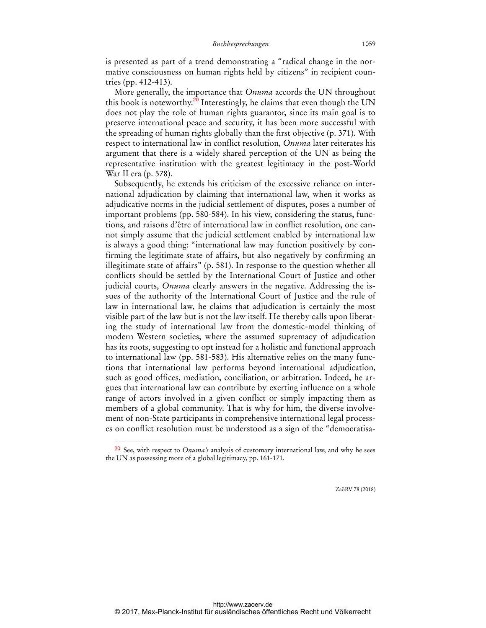is presented as part of a trend demonstrating a "radical change in the normative consciousness on human rights held by citizens" in recipient countries (pp. 412-413).

More generally, the importance that *Onuma* accords the UN throughout this book is noteworthy.<sup>20</sup> Interestingly, he claims that even though the UN does not play the role of human rights guarantor, since its main goal is to preserve international peace and security, it has been more successful with the spreading of human rights globally than the first objective (p. 371). With respect to international law in conflict resolution, *Onuma* later reiterates his argument that there is a widely shared perception of the UN as being the representative institution with the greatest legitimacy in the post-World War II era (p. 578).

Subsequently, he extends his criticism of the excessive reliance on international adjudication by claiming that international law, when it works as adjudicative norms in the judicial settlement of disputes, poses a number of important problems (pp. 580-584). In his view, considering the status, functions, and raisons d'être of international law in conflict resolution, one cannot simply assume that the judicial settlement enabled by international law is always a good thing: "international law may function positively by confirming the legitimate state of affairs, but also negatively by confirming an illegitimate state of affairs" (p. 581). In response to the question whether all conflicts should be settled by the International Court of Justice and other judicial courts, *Onuma* clearly answers in the negative. Addressing the issues of the authority of the International Court of Justice and the rule of law in international law, he claims that adjudication is certainly the most visible part of the law but is not the law itself. He thereby calls upon liberating the study of international law from the domestic-model thinking of modern Western societies, where the assumed supremacy of adjudication has its roots, suggesting to opt instead for a holistic and functional approach to international law (pp. 581-583). His alternative relies on the many functions that international law performs beyond international adjudication, such as good offices, mediation, conciliation, or arbitration. Indeed, he argues that international law can contribute by exerting influence on a whole range of actors involved in a given conflict or simply impacting them as members of a global community. That is why for him, the diverse involvement of non-State participants in comprehensive international legal processes on conflict resolution must be understood as a sign of the "democratisa-

 $\overline{a}$ 

<sup>20</sup> See, with respect to *Onuma's* analysis of customary international law, and why he sees the UN as possessing more of a global legitimacy, pp. 161-171.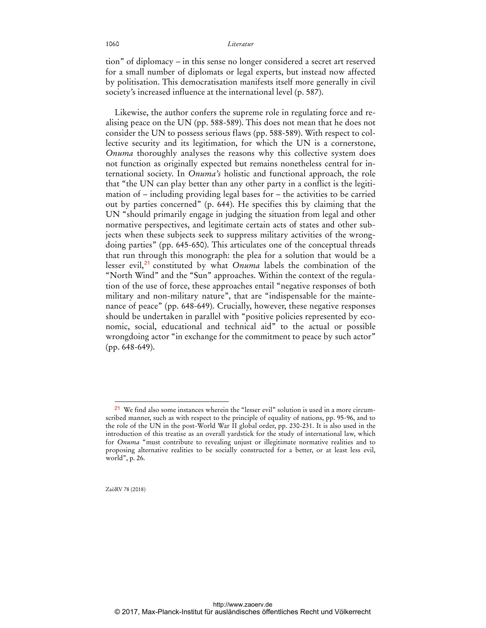### 1060 *Literatur*

tion" of diplomacy – in this sense no longer considered a secret art reserved for a small number of diplomats or legal experts, but instead now affected by politisation. This democratisation manifests itself more generally in civil society's increased influence at the international level (p. 587).

Likewise, the author confers the supreme role in regulating force and realising peace on the UN (pp. 588-589). This does not mean that he does not consider the UN to possess serious flaws (pp. 588-589). With respect to collective security and its legitimation, for which the UN is a cornerstone, *Onuma* thoroughly analyses the reasons why this collective system does not function as originally expected but remains nonetheless central for international society. In *Onuma's* holistic and functional approach, the role that "the UN can play better than any other party in a conflict is the legitimation of – including providing legal bases for – the activities to be carried out by parties concerned" (p. 644). He specifies this by claiming that the UN "should primarily engage in judging the situation from legal and other normative perspectives, and legitimate certain acts of states and other subjects when these subjects seek to suppress military activities of the wrongdoing parties" (pp. 645-650). This articulates one of the conceptual threads that run through this monograph: the plea for a solution that would be a lesser evil,<sup>21</sup> constituted by what *Onuma* labels the combination of the "North Wind" and the "Sun" approaches. Within the context of the regulation of the use of force, these approaches entail "negative responses of both military and non-military nature", that are "indispensable for the maintenance of peace" (pp. 648-649). Crucially, however, these negative responses should be undertaken in parallel with "positive policies represented by economic, social, educational and technical aid" to the actual or possible wrongdoing actor "in exchange for the commitment to peace by such actor" (pp. 648-649).

ZaöRV 78 (2018)

<sup>21</sup> We find also some instances wherein the "lesser evil" solution is used in a more circumscribed manner, such as with respect to the principle of equality of nations, pp. 95-96, and to the role of the UN in the post-World War II global order, pp. 230-231. It is also used in the introduction of this treatise as an overall yardstick for the study of international law, which for *Onuma* "must contribute to revealing unjust or illegitimate normative realities and to proposing alternative realities to be socially constructed for a better, or at least less evil, world", p. 26.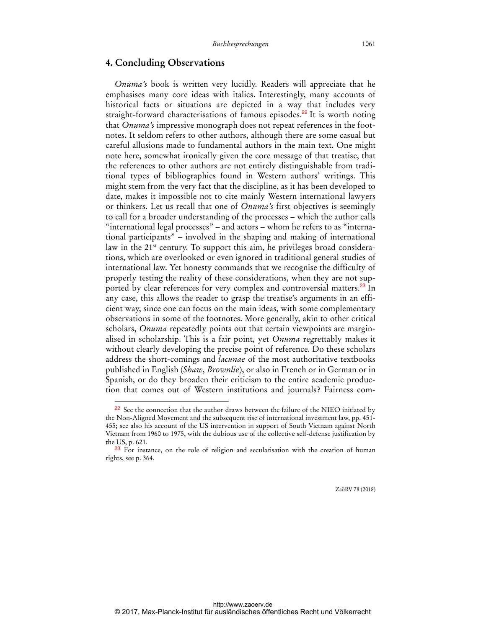## **4. Concluding Observations**

 $\overline{a}$ 

*Onuma's* book is written very lucidly. Readers will appreciate that he emphasises many core ideas with italics. Interestingly, many accounts of historical facts or situations are depicted in a way that includes very straight-forward characterisations of famous episodes.<sup>22</sup> It is worth noting that *Onuma's* impressive monograph does not repeat references in the footnotes. It seldom refers to other authors, although there are some casual but careful allusions made to fundamental authors in the main text. One might note here, somewhat ironically given the core message of that treatise, that the references to other authors are not entirely distinguishable from traditional types of bibliographies found in Western authors' writings. This might stem from the very fact that the discipline, as it has been developed to date, makes it impossible not to cite mainly Western international lawyers or thinkers. Let us recall that one of *Onuma's* first objectives is seemingly to call for a broader understanding of the processes – which the author calls "international legal processes" – and actors – whom he refers to as "international participants" – involved in the shaping and making of international law in the 21<sup>st</sup> century. To support this aim, he privileges broad considerations, which are overlooked or even ignored in traditional general studies of international law. Yet honesty commands that we recognise the difficulty of properly testing the reality of these considerations, when they are not supported by clear references for very complex and controversial matters.<sup>23</sup> In any case, this allows the reader to grasp the treatise's arguments in an efficient way, since one can focus on the main ideas, with some complementary observations in some of the footnotes. More generally, akin to other critical scholars, *Onuma* repeatedly points out that certain viewpoints are marginalised in scholarship. This is a fair point, yet *Onuma* regrettably makes it without clearly developing the precise point of reference. Do these scholars address the short-comings and *lacunae* of the most authoritative textbooks published in English (*Shaw*, *Brownlie*), or also in French or in German or in Spanish, or do they broaden their criticism to the entire academic production that comes out of Western institutions and journals? Fairness com-

<sup>&</sup>lt;sup>22</sup> See the connection that the author draws between the failure of the NIEO initiated by the Non-Aligned Movement and the subsequent rise of international investment law, pp. 451- 455; see also his account of the US intervention in support of South Vietnam against North Vietnam from 1960 to 1975, with the dubious use of the collective self-defense justification by the US, p. 621.

<sup>&</sup>lt;sup>23</sup> For instance, on the role of religion and secularisation with the creation of human rights, see p. 364.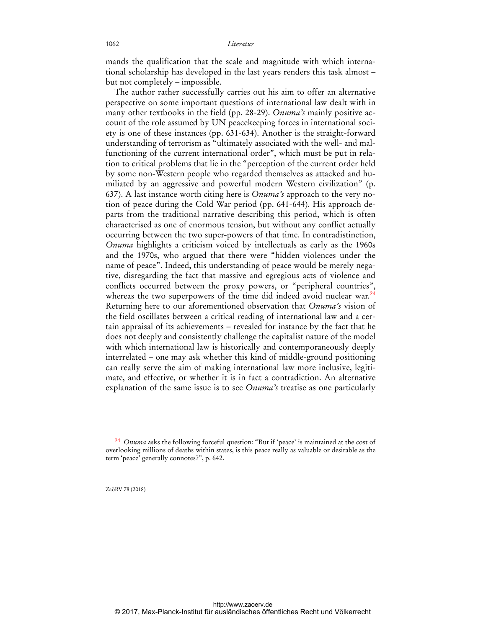mands the qualification that the scale and magnitude with which international scholarship has developed in the last years renders this task almost – but not completely – impossible.

The author rather successfully carries out his aim to offer an alternative perspective on some important questions of international law dealt with in many other textbooks in the field (pp. 28-29). *Onuma's* mainly positive account of the role assumed by UN peacekeeping forces in international society is one of these instances (pp. 631-634). Another is the straight-forward understanding of terrorism as "ultimately associated with the well- and malfunctioning of the current international order", which must be put in relation to critical problems that lie in the "perception of the current order held by some non-Western people who regarded themselves as attacked and humiliated by an aggressive and powerful modern Western civilization" (p. 637). A last instance worth citing here is *Onuma's* approach to the very notion of peace during the Cold War period (pp. 641-644). His approach departs from the traditional narrative describing this period, which is often characterised as one of enormous tension, but without any conflict actually occurring between the two super-powers of that time. In contradistinction, *Onuma* highlights a criticism voiced by intellectuals as early as the 1960s and the 1970s, who argued that there were "hidden violences under the name of peace". Indeed, this understanding of peace would be merely negative, disregarding the fact that massive and egregious acts of violence and conflicts occurred between the proxy powers, or "peripheral countries", whereas the two superpowers of the time did indeed avoid nuclear war.<sup>24</sup> Returning here to our aforementioned observation that *Onuma's* vision of the field oscillates between a critical reading of international law and a certain appraisal of its achievements – revealed for instance by the fact that he does not deeply and consistently challenge the capitalist nature of the model with which international law is historically and contemporaneously deeply interrelated – one may ask whether this kind of middle-ground positioning can really serve the aim of making international law more inclusive, legitimate, and effective, or whether it is in fact a contradiction. An alternative explanation of the same issue is to see *Onuma's* treatise as one particularly

ZaöRV 78 (2018)

<sup>24</sup> *Onuma* asks the following forceful question: "But if 'peace' is maintained at the cost of overlooking millions of deaths within states, is this peace really as valuable or desirable as the term 'peace' generally connotes?", p. 642.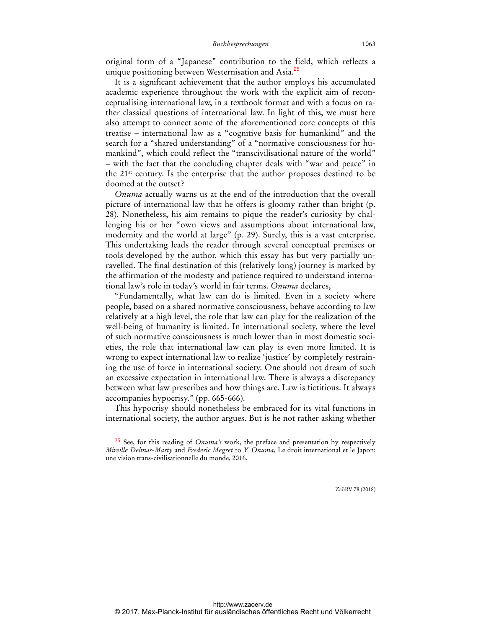original form of a "Japanese" contribution to the field, which reflects a unique positioning between Westernisation and Asia.<sup>25</sup>

It is a significant achievement that the author employs his accumulated academic experience throughout the work with the explicit aim of reconceptualising international law, in a textbook format and with a focus on rather classical questions of international law. In light of this, we must here also attempt to connect some of the aforementioned core concepts of this treatise – international law as a "cognitive basis for humankind" and the search for a "shared understanding" of a "normative consciousness for humankind", which could reflect the "transcivilisational nature of the world" – with the fact that the concluding chapter deals with "war and peace" in the 21<sup>st</sup> century. Is the enterprise that the author proposes destined to be doomed at the outset?

*Onuma* actually warns us at the end of the introduction that the overall picture of international law that he offers is gloomy rather than bright (p. 28). Nonetheless, his aim remains to pique the reader's curiosity by challenging his or her "own views and assumptions about international law, modernity and the world at large" (p. 29). Surely, this is a vast enterprise. This undertaking leads the reader through several conceptual premises or tools developed by the author, which this essay has but very partially unravelled. The final destination of this (relatively long) journey is marked by the affirmation of the modesty and patience required to understand international law's role in today's world in fair terms. *Onuma* declares,

"Fundamentally, what law can do is limited. Even in a society where people, based on a shared normative consciousness, behave according to law relatively at a high level, the role that law can play for the realization of the well-being of humanity is limited. In international society, where the level of such normative consciousness is much lower than in most domestic societies, the role that international law can play is even more limited. It is wrong to expect international law to realize 'justice' by completely restraining the use of force in international society. One should not dream of such an excessive expectation in international law. There is always a discrepancy between what law prescribes and how things are. Law is fictitious. It always accompanies hypocrisy." (pp. 665-666).

This hypocrisy should nonetheless be embraced for its vital functions in international society, the author argues. But is he not rather asking whether

 $\overline{a}$ 

<sup>25</sup> See, for this reading of *Onuma's* work, the preface and presentation by respectively *Mireille Delmas-Marty* and *Frederic Megret* to *Y. Onuma*, Le droit international et le Japon: une vision trans-civilisationnelle du monde, 2016.